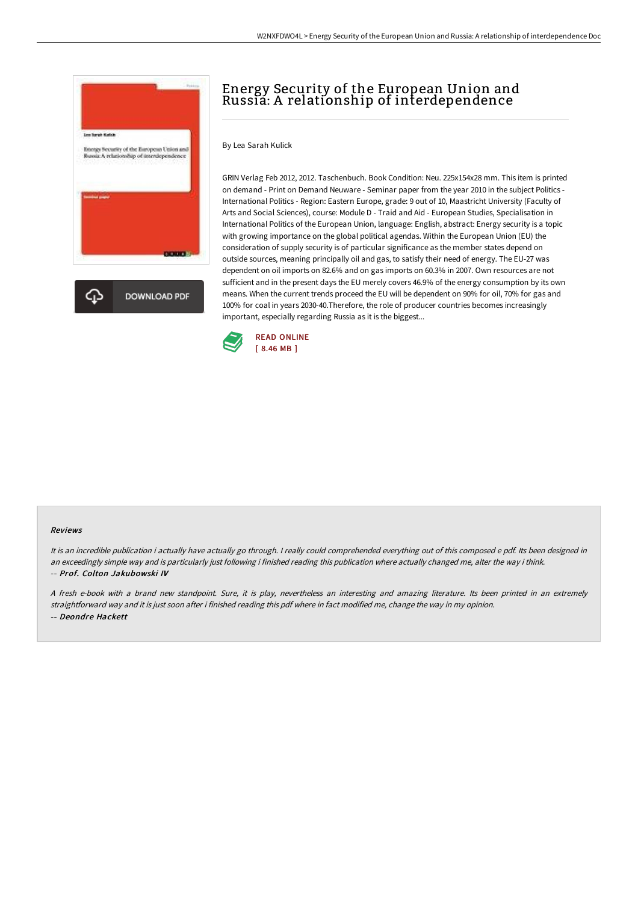

# Energy Security of the European Union and Russia: A relationship of interdependence

By Lea Sarah Kulick

GRIN Verlag Feb 2012, 2012. Taschenbuch. Book Condition: Neu. 225x154x28 mm. This item is printed on demand - Print on Demand Neuware - Seminar paper from the year 2010 in the subject Politics - International Politics - Region: Eastern Europe, grade: 9 out of 10, Maastricht University (Faculty of Arts and Social Sciences), course: Module D - Traid and Aid - European Studies, Specialisation in International Politics of the European Union, language: English, abstract: Energy security is a topic with growing importance on the global political agendas. Within the European Union (EU) the consideration of supply security is of particular significance as the member states depend on outside sources, meaning principally oil and gas, to satisfy their need of energy. The EU-27 was dependent on oil imports on 82.6% and on gas imports on 60.3% in 2007. Own resources are not sufficient and in the present days the EU merely covers 46.9% of the energy consumption by its own means. When the current trends proceed the EU will be dependent on 90% for oil, 70% for gas and 100% for coal in years 2030-40.Therefore, the role of producer countries becomes increasingly important, especially regarding Russia as it is the biggest...



#### Reviews

It is an incredible publication i actually have actually go through. I really could comprehended everything out of this composed e pdf. Its been designed in an exceedingly simple way and is particularly just following i finished reading this publication where actually changed me, alter the way i think. -- Prof. Colton Jakubowski IV

<sup>A</sup> fresh e-book with <sup>a</sup> brand new standpoint. Sure, it is play, nevertheless an interesting and amazing literature. Its been printed in an extremely straightforward way and it is just soon after i finished reading this pdf where in fact modified me, change the way in my opinion. -- Deondre Hackett